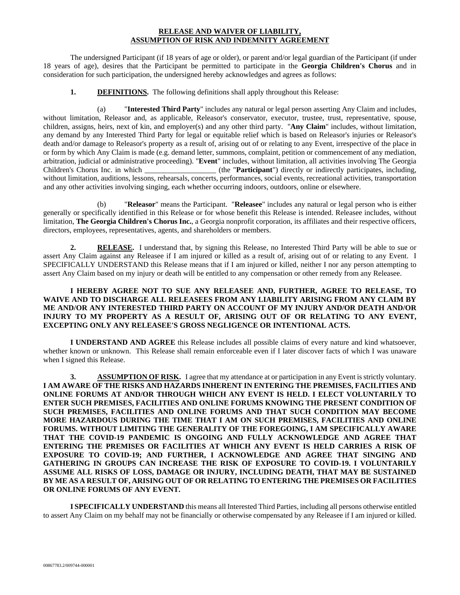## **RELEASE AND WAIVER OF LIABILITY, ASSUMPTION OF RISK AND INDEMNITY AGREEMENT**

 The undersigned Participant (if 18 years of age or older), or parent and/or legal guardian of the Participant (if under 18 years of age), desires that the Participant be permitted to participate in the **Georgia Children's Chorus** and in consideration for such participation, the undersigned hereby acknowledges and agrees as follows:

**1. DEFINITIONS.** The following definitions shall apply throughout this Release:

 (a) "**Interested Third Party**" includes any natural or legal person asserting Any Claim and includes, without limitation, Releasor and, as applicable, Releasor's conservator, executor, trustee, trust, representative, spouse, children, assigns, heirs, next of kin, and employer(s) and any other third party. "**Any Claim**" includes, without limitation, any demand by any Interested Third Party for legal or equitable relief which is based on Releasor's injuries or Releasor's death and/or damage to Releasor's property as a result of, arising out of or relating to any Event, irrespective of the place in or form by which Any Claim is made (e.g. demand letter, summons, complaint, petition or commencement of any mediation, arbitration, judicial or administrative proceeding). "**Event**" includes, without limitation, all activities involving The Georgia Children's Chorus Inc. in which \_\_\_\_\_\_\_\_\_\_\_\_\_\_\_\_\_\_\_ (the "**Participant**") directly or indirectly participates, including, without limitation, auditions, lessons, rehearsals, concerts, performances, social events, recreational activities, transportation and any other activities involving singing, each whether occurring indoors, outdoors, online or elsewhere.

 (b) "**Releasor**" means the Participant. "**Releasee**" includes any natural or legal person who is either generally or specifically identified in this Release or for whose benefit this Release is intended. Releasee includes, without limitation, **The Georgia Children's Chorus Inc.**, a Georgia nonprofit corporation, its affiliates and their respective officers, directors, employees, representatives, agents, and shareholders or members.

**2. RELEASE.** I understand that, by signing this Release, no Interested Third Party will be able to sue or assert Any Claim against any Releasee if I am injured or killed as a result of, arising out of or relating to any Event. I SPECIFICALLY UNDERSTAND this Release means that if I am injured or killed, neither I nor any person attempting to assert Any Claim based on my injury or death will be entitled to any compensation or other remedy from any Releasee.

## **I HEREBY AGREE NOT TO SUE ANY RELEASEE AND, FURTHER, AGREE TO RELEASE, TO WAIVE AND TO DISCHARGE ALL RELEASEES FROM ANY LIABILITY ARISING FROM ANY CLAIM BY ME AND/OR ANY INTERESTED THIRD PARTY ON ACCOUNT OF MY INJURY AND/OR DEATH AND/OR INJURY TO MY PROPERTY AS A RESULT OF, ARISING OUT OF OR RELATING TO ANY EVENT, EXCEPTING ONLY ANY RELEASEE'S GROSS NEGLIGENCE OR INTENTIONAL ACTS.**

 **I UNDERSTAND AND AGREE** this Release includes all possible claims of every nature and kind whatsoever, whether known or unknown. This Release shall remain enforceable even if I later discover facts of which I was unaware when I signed this Release.

**3. ASSUMPTION OF RISK.** I agree that my attendance at or participation in any Event is strictly voluntary. **I AM AWARE OF THE RISKS AND HAZARDS INHERENT IN ENTERING THE PREMISES, FACILITIES AND ONLINE FORUMS AT AND/OR THROUGH WHICH ANY EVENT IS HELD. I ELECT VOLUNTARILY TO ENTER SUCH PREMISES, FACILITIES AND ONLINE FORUMS KNOWING THE PRESENT CONDITION OF SUCH PREMISES, FACILITIES AND ONLINE FORUMS AND THAT SUCH CONDITION MAY BECOME MORE HAZARDOUS DURING THE TIME THAT I AM ON SUCH PREMISES, FACILITIES AND ONLINE FORUMS. WITHOUT LIMITING THE GENERALITY OF THE FOREGOING, I AM SPECIFICALLY AWARE THAT THE COVID-19 PANDEMIC IS ONGOING AND FULLY ACKNOWLEDGE AND AGREE THAT ENTERING THE PREMISES OR FACILITIES AT WHICH ANY EVENT IS HELD CARRIES A RISK OF EXPOSURE TO COVID-19; AND FURTHER, I ACKNOWLEDGE AND AGREE THAT SINGING AND GATHERING IN GROUPS CAN INCREASE THE RISK OF EXPOSURE TO COVID-19. I VOLUNTARILY ASSUME ALL RISKS OF LOSS, DAMAGE OR INJURY, INCLUDING DEATH, THAT MAY BE SUSTAINED BY ME AS A RESULT OF, ARISING OUT OF OR RELATING TO ENTERING THE PREMISES OR FACILITIES OR ONLINE FORUMS OF ANY EVENT.** 

**I SPECIFICALLY UNDERSTAND** this means all Interested Third Parties, including all persons otherwise entitled to assert Any Claim on my behalf may not be financially or otherwise compensated by any Releasee if I am injured or killed.